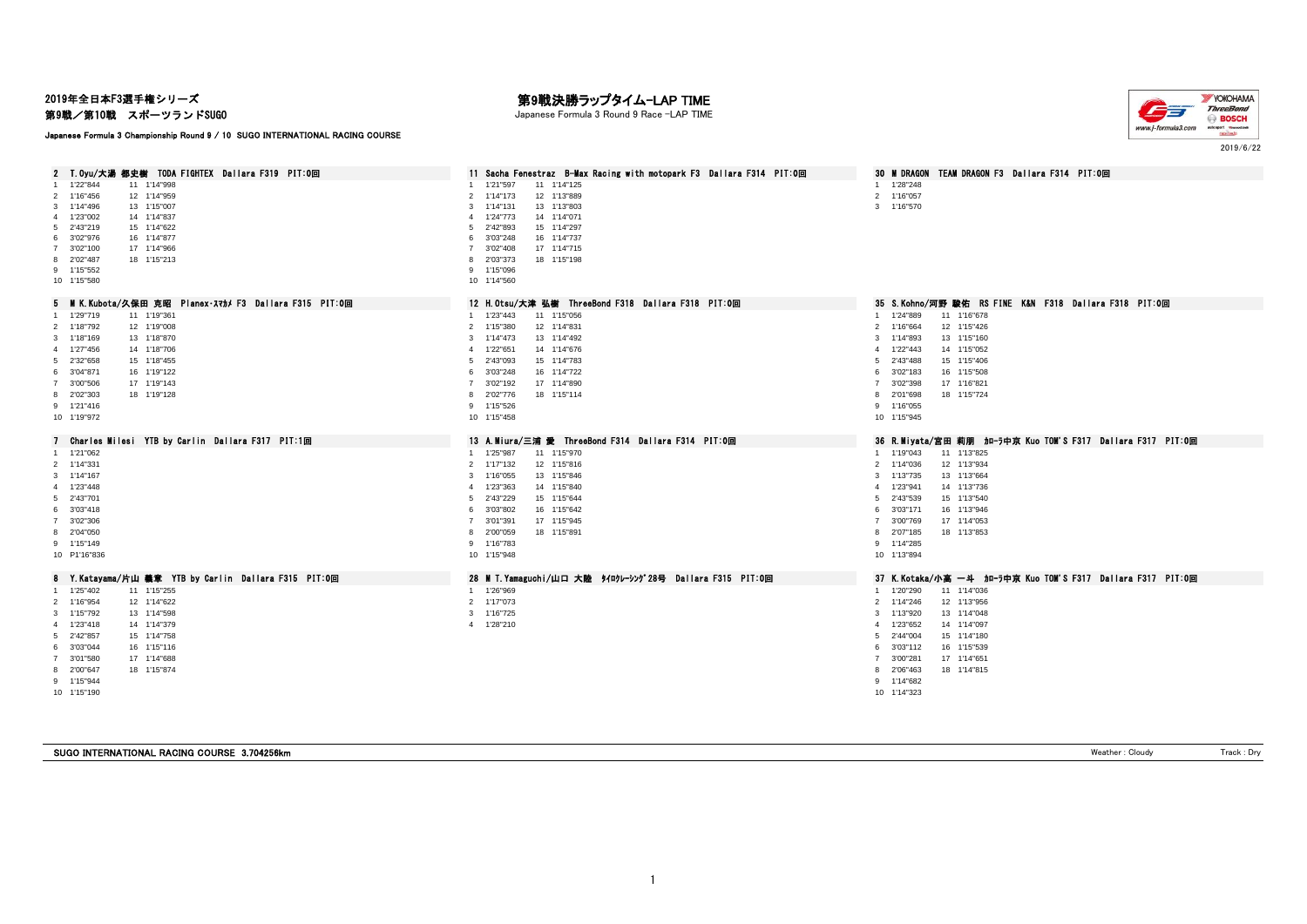2019年全日本F3選手権シリーズ

第9戦/第10戦 スポーツランドSUGO

Japanese Formula 3 Championship Round 9 / 10 SUGO INTERNATIONAL RACING COURSE

## 第9戦決勝ラップタイム-LAP TIME

Japanese Formula 3 Round 9 Race -LAP TIME



2 T.Oyu/大湯 都史樹 TODA FIGHTEX Dallara F319 PIT:O回 2 11 Sacha Fenestraz B-Max Racing with motopark F3 Dallara F314 PIT:O回 30 M DRAGON TEAM DRAGON F3 Dallara F314 PIT:O回 1 1'22"844 11 1'14"998 1 1'28"248 1 1'28"248 1 1'28"248 1 1'28"248 1 1'14"125 1 114"125 1 114"125 1 114"125 1 1 1'16"456 12 1'14"959 2 1'14"173 12 1'13"889 2 1'16"057 1'14"496 13 1'15"007 3 1'14"131 13 1'13"803 3 1'16"570 4 1'23°002 14 1'14"837<br>5 2'43°219 15 1'14"837 5 2'43°219 15 1'14"837 5 2'43°219 15 1'14"937 2'43"219 15 1'14"622 5 2'42"893 15 1'14"297 3'02"976 16 1'14"877 6 3'03"248 16 1'14"737 3'02"100 17 1'14"966 7 3'02"408 17 1'14"715 2'02"487 18 1'15"213 8 2'03"373 18 1'15"198 1'15"552 9 1'15"096 1'15"580 10 1'14"560 5 M K.Kubota/久保田 克昭 Planex・スマカメ F3 Dallara F315 PIT:0回 20 12 H.Otsu/大津 弘樹 ThreeBond F318 Dallara F318 PIT:0回 35 S.Kohno/河野 駿佑 RS FINE K&N F318 Dallara F318 PIT:0回 1 129°719 11 119°361 11 110°678 11 110°678 11 1123°443 11 115°056 11 116°106 11 116°108 11 116°678 11 116°678<br>1 118°792 12 119°008 12 115°426 12 115°436 12 114°431 114°431 114°431 114°431 114°590 116°64 12 115°426 12 11 1'18"792 12 1'19"008 2 1'15"380 12 1'14"831 2 1'16"664 12 1'15"426 1'18"169 13 1'18"870 3 1'14"473 13 1'14"492 3 1'14"893 13 1'15"160 1'27"456 14 1'18"706 4 1'22"651 14 1'14"676 4 1'22"443 14 1'15"052 2'32"658 15 1'18"455 5 2'43"093 15 1'14"783 5 2'43"488 15 1'15"406 3'04"871 16 1'19"122 6 3'03"248 16 1'14"722 6 3'02"183 16 1'15"508 3'00"506 17 1'19"143 7 3'02"192 17 1'14"890 7 3'02"398 17 1'16"821 8 2'02"303 18 1'19"128 8 2'02"776 18 1'15"114 8 2'01"698 18 1'15"724 1'21"416 9 1'15"526 9 1'16"055 1'19"972 10 1'15"458 10 1'15"945 7 Charles Milesi YTB by Carlin Dallara F317 PIT:1回 13 A.Miura/三浦 愛 ThreeBond F314 Dallara F314 PIT:0回 36 R.Mivata/宮田 莉朋 カローラ中京 Kuo TOM'S F317 Dallara F317 PIT:0回 1'21"062 1 1'25"987 11 1'15"970 1 1'19"043 11 1'13"825 2 114"331 2 112"32 112 112"32 12 115"816 2 117"132 12 115"816 2 114"331 2 114"331 2 114"336 12 113"934<br>2 114"167 2 113"1684 2 116"1684 12 116"1684 116"1684 116"1684 116"1684 116"1684 113"175 13 113"1684 1'14"167 3 1'16"055 13 1'15"846 3 1'13"735 13 1'13"664 1'23"448 4 1'23"363 14 1'15"840 4 1'23"941 14 1'13"736 2'43"701 5 2'43"229 15 1'15"644 5 2'43"539 15 1'13"540 3'03"418 6 3'03"802 16 1'15"642 6 3'03"171 16 1'13"946 3'02"306 7 3'01"391 17 1'15"945 7 3'00"769 17 1'14"053 8 2'00"059 18 1'15"891 1'15"149 9 1'16"783 9 1'14"285 P1'16"836 10 1'15"948 10 1'13"894 8 Y.Katayama/片山 義章 YTB by Carlin Dallara F315 PIT:0回 28 M T.Yamaguchi/山口 大陸 タイロクレーシング28号 Dallara F315 PIT:0回 37 K.Kotaka/小高 一斗 カローラ中京 Kuo TOM'S F317 Dallara F317 PIT:0回 1'25"402 11 1'15"255 1 1'26"969 1 1'20"290 11 1'14"036 1'16"954 12 1'14"622 2 1'17"073 2 1'14"246 12 1'13"956 1'15"792 13 1'14"598 3 1'16"725 3 1'13"920 13 1'14"048 1'23"418 14 1'14"379 4 1'28"210 4 1'23"652 14 1'14"097 2'42"857 15 1'14"758 5 2'44"004 15 1'14"180 3'03"044 16 1'15"116 6 3'03"112 16 1'15"539 3'01"580 17 1'14"688 7 3'00"281 17 1'14"651 2'00"647 18 1'15"874 8 2'06"463 18 1'14"815 1'15"944 9 1'14"682 1'15"190 10 1'14"323